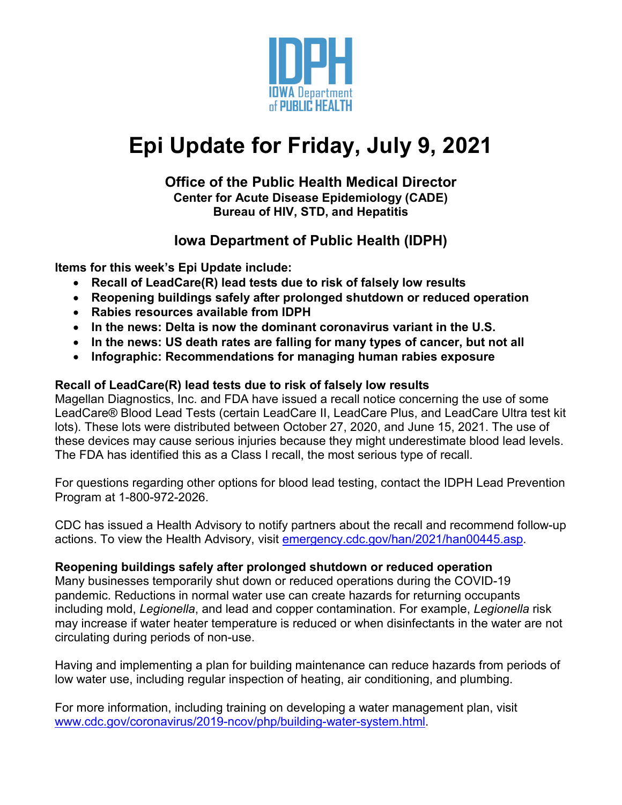

# **Epi Update for Friday, July 9, 2021**

#### **Office of the Public Health Medical Director Center for Acute Disease Epidemiology (CADE) Bureau of HIV, STD, and Hepatitis**

### **Iowa Department of Public Health (IDPH)**

**Items for this week's Epi Update include:**

- **Recall of LeadCare(R) lead tests due to risk of falsely low results**
- **Reopening buildings safely after prolonged shutdown or reduced operation**
- **Rabies resources available from IDPH**
- **In the news: Delta is now the dominant coronavirus variant in the U.S.**
- **In the news: US death rates are falling for many types of cancer, but not all**
- **Infographic: Recommendations for managing human rabies exposure**

#### **Recall of LeadCare(R) lead tests due to risk of falsely low results**

Magellan Diagnostics, Inc. and FDA have issued a recall notice concerning the use of some LeadCare® Blood Lead Tests (certain LeadCare II, LeadCare Plus, and LeadCare Ultra test kit lots). These lots were distributed between October 27, 2020, and June 15, 2021. The use of these devices may cause serious injuries because they might underestimate blood lead levels. The FDA has identified this as a Class I recall, the most serious type of recall.

For questions regarding other options for blood lead testing, contact the IDPH Lead Prevention Program at 1-800-972-2026.

CDC has issued a Health Advisory to notify partners about the recall and recommend follow-up actions. To view the Health Advisory, visit [emergency.cdc.gov/han/2021/han00445.asp.](https://emergency.cdc.gov/han/2021/han00445.asp)

#### **Reopening buildings safely after prolonged shutdown or reduced operation**

Many businesses temporarily shut down or reduced operations during the COVID-19 pandemic. Reductions in normal water use can create hazards for returning occupants including mold, *Legionella*, and lead and copper contamination. For example, *Legionella* risk may increase if water heater temperature is reduced or when disinfectants in the water are not circulating during periods of non-use.

Having and implementing a plan for building maintenance can reduce hazards from periods of low water use, including regular inspection of heating, air conditioning, and plumbing.

For more information, including training on developing a water management plan, visit [www.cdc.gov/coronavirus/2019-ncov/php/building-water-system.html.](http://www.cdc.gov/coronavirus/2019-ncov/php/building-water-system.html)